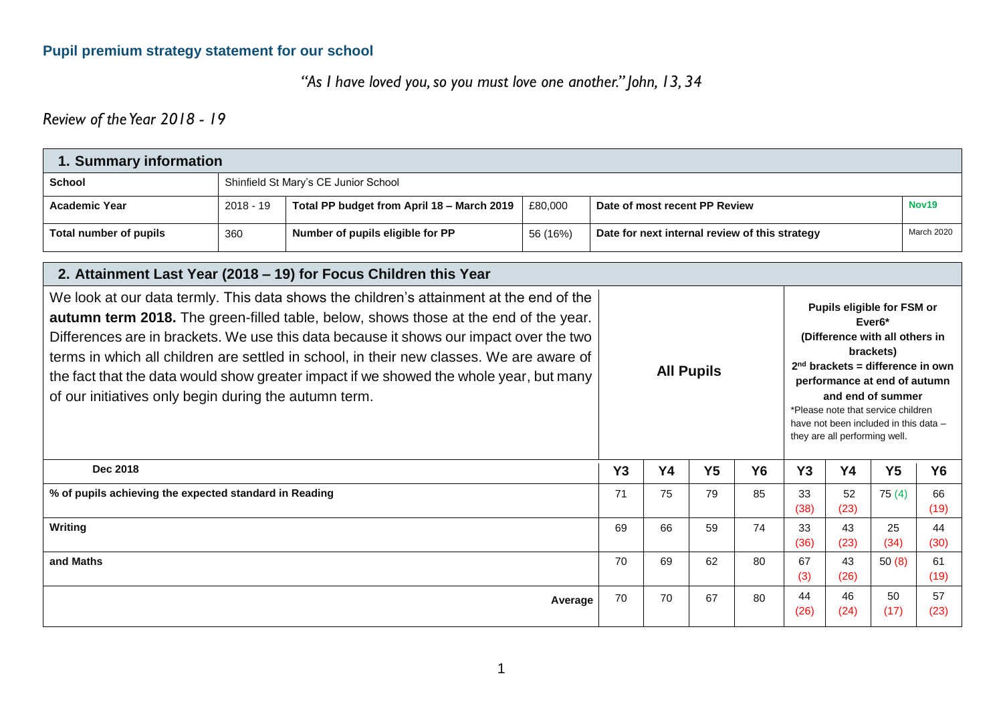#### **Pupil premium strategy statement for our school**

*"As I have loved you, so you must love one another." John, 13, 34*

*Review of the Year 2018 - 19*

|                                                                                                                                                                                                                                                                                                                                                                                                                                                                                                                          | 1. Summary information               |                                                                  |          |                                                |                   |                |           |                               |                                                                                                                                                                                                                                                                            |                |            |
|--------------------------------------------------------------------------------------------------------------------------------------------------------------------------------------------------------------------------------------------------------------------------------------------------------------------------------------------------------------------------------------------------------------------------------------------------------------------------------------------------------------------------|--------------------------------------|------------------------------------------------------------------|----------|------------------------------------------------|-------------------|----------------|-----------|-------------------------------|----------------------------------------------------------------------------------------------------------------------------------------------------------------------------------------------------------------------------------------------------------------------------|----------------|------------|
| <b>School</b>                                                                                                                                                                                                                                                                                                                                                                                                                                                                                                            | Shinfield St Mary's CE Junior School |                                                                  |          |                                                |                   |                |           |                               |                                                                                                                                                                                                                                                                            |                |            |
| <b>Academic Year</b>                                                                                                                                                                                                                                                                                                                                                                                                                                                                                                     | $2018 - 19$                          | Total PP budget from April 18 - March 2019                       | £80,000  | Date of most recent PP Review                  |                   |                |           |                               | Nov19                                                                                                                                                                                                                                                                      |                |            |
| <b>Total number of pupils</b>                                                                                                                                                                                                                                                                                                                                                                                                                                                                                            | 360                                  | Number of pupils eligible for PP                                 | 56 (16%) | Date for next internal review of this strategy |                   |                |           |                               | March 2020                                                                                                                                                                                                                                                                 |                |            |
|                                                                                                                                                                                                                                                                                                                                                                                                                                                                                                                          |                                      | 2. Attainment Last Year (2018 - 19) for Focus Children this Year |          |                                                |                   |                |           |                               |                                                                                                                                                                                                                                                                            |                |            |
| We look at our data termly. This data shows the children's attainment at the end of the<br>autumn term 2018. The green-filled table, below, shows those at the end of the year.<br>Differences are in brackets. We use this data because it shows our impact over the two<br>terms in which all children are settled in school, in their new classes. We are aware of<br>the fact that the data would show greater impact if we showed the whole year, but many<br>of our initiatives only begin during the autumn term. |                                      |                                                                  |          |                                                | <b>All Pupils</b> |                |           | they are all performing well. | Pupils eligible for FSM or<br>Ever <sub>6</sub> *<br>(Difference with all others in<br>brackets)<br>$2nd$ brackets = difference in own<br>performance at end of autumn<br>and end of summer<br>*Please note that service children<br>have not been included in this data - |                |            |
| <b>Dec 2018</b>                                                                                                                                                                                                                                                                                                                                                                                                                                                                                                          |                                      |                                                                  |          | Y3                                             | <b>Y4</b>         | Y <sub>5</sub> | <b>Y6</b> | Y3                            | <b>Y4</b>                                                                                                                                                                                                                                                                  | Y <sub>5</sub> | <b>Y6</b>  |
| % of pupils achieving the expected standard in Reading                                                                                                                                                                                                                                                                                                                                                                                                                                                                   |                                      |                                                                  |          | 71                                             | 75                | 79             | 85        | 33<br>(38)                    | 52<br>(23)                                                                                                                                                                                                                                                                 | 75(4)          | 66<br>(19) |
| Writing                                                                                                                                                                                                                                                                                                                                                                                                                                                                                                                  |                                      |                                                                  |          | 69                                             | 66                | 59             | 74        | 33<br>(36)                    | 43<br>(23)                                                                                                                                                                                                                                                                 | 25<br>(34)     | 44<br>(30) |
| and Maths                                                                                                                                                                                                                                                                                                                                                                                                                                                                                                                |                                      |                                                                  |          | 70                                             | 69                | 62             | 80        | 67<br>(3)                     | 43<br>(26)                                                                                                                                                                                                                                                                 | 50(8)          | 61<br>(19) |
|                                                                                                                                                                                                                                                                                                                                                                                                                                                                                                                          |                                      |                                                                  | Average  | 70                                             | 70                | 67             | 80        | 44<br>(26)                    | 46<br>(24)                                                                                                                                                                                                                                                                 | 50<br>(17)     | 57<br>(23) |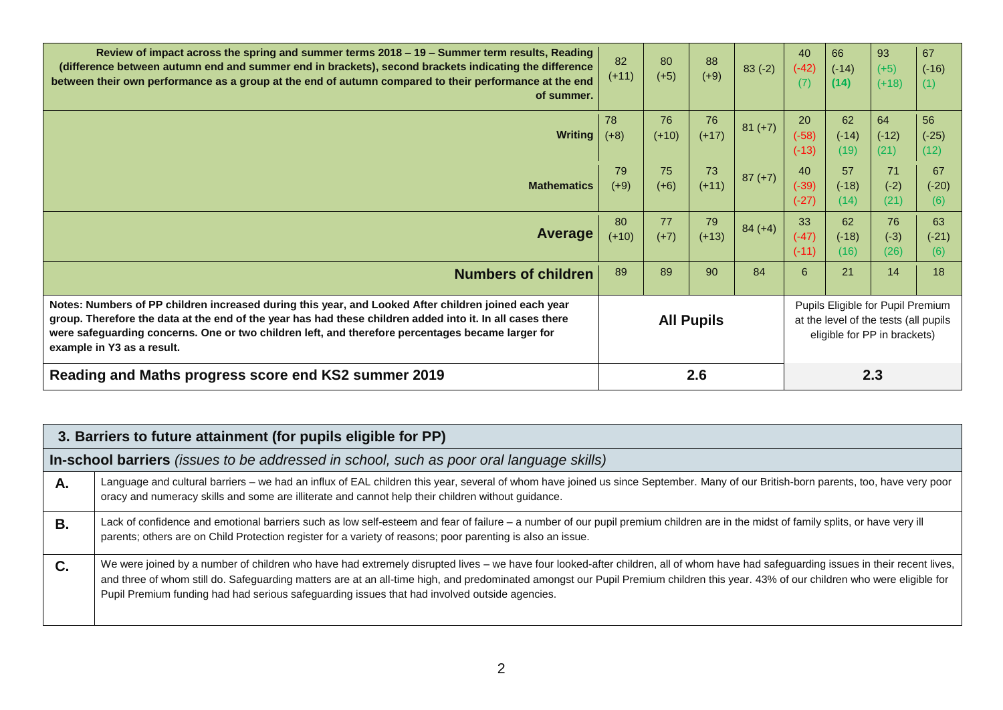| Review of impact across the spring and summer terms 2018 – 19 – Summer term results, Reading<br>(difference between autumn end and summer end in brackets), second brackets indicating the difference<br>between their own performance as a group at the end of autumn compared to their performance at the end<br>of summer.                        | 82<br>$(+11)$                                                                                                                   | 80<br>$(+5)$  | 88<br>$(+9)$  | $83(-2)$  | 40<br>$(-42)$<br>(7)     | 66<br>$(-14)$<br>(14) | 93<br>$(+5)$<br>$(+18)$ | 67<br>$(-16)$<br>(1)  |
|------------------------------------------------------------------------------------------------------------------------------------------------------------------------------------------------------------------------------------------------------------------------------------------------------------------------------------------------------|---------------------------------------------------------------------------------------------------------------------------------|---------------|---------------|-----------|--------------------------|-----------------------|-------------------------|-----------------------|
| <b>Writing</b>                                                                                                                                                                                                                                                                                                                                       | 78<br>$(+8)$                                                                                                                    | 76<br>$(+10)$ | 76<br>$(+17)$ | $81 (+7)$ | 20<br>$(-58)$<br>$(-13)$ | 62<br>$(-14)$<br>(19) | 64<br>$(-12)$<br>(21)   | 56<br>$(-25)$<br>(12) |
| <b>Mathematics</b>                                                                                                                                                                                                                                                                                                                                   | 79<br>$(+9)$                                                                                                                    | 75<br>$(+6)$  | 73<br>$(+11)$ | $87 (+7)$ | 40<br>$(-39)$<br>$(-27)$ | 57<br>$(-18)$<br>(14) | 71<br>$(-2)$<br>(21)    | 67<br>$(-20)$<br>(6)  |
| Average                                                                                                                                                                                                                                                                                                                                              | 80<br>$(+10)$                                                                                                                   | 77<br>$(+7)$  | 79<br>$(+13)$ | $84 (+4)$ | 33<br>$(-47)$<br>$(-11)$ | 62<br>$(-18)$<br>(16) | 76<br>$(-3)$<br>(26)    | 63<br>$(-21)$<br>(6)  |
| <b>Numbers of children</b>                                                                                                                                                                                                                                                                                                                           | 89                                                                                                                              | 89            | 90            | 84        | 6                        | 21                    | 14                      | 18                    |
| Notes: Numbers of PP children increased during this year, and Looked After children joined each year<br>group. Therefore the data at the end of the year has had these children added into it. In all cases there<br>were safeguarding concerns. One or two children left, and therefore percentages became larger for<br>example in Y3 as a result. | Pupils Eligible for Pupil Premium<br><b>All Pupils</b><br>at the level of the tests (all pupils<br>eligible for PP in brackets) |               |               |           |                          |                       |                         |                       |
| Reading and Maths progress score end KS2 summer 2019                                                                                                                                                                                                                                                                                                 |                                                                                                                                 |               | 2.6           |           |                          |                       | 2.3                     |                       |

|           | 3. Barriers to future attainment (for pupils eligible for PP)                                                                                                                                                                                                                                                                                                                                                                                                              |  |  |  |  |  |
|-----------|----------------------------------------------------------------------------------------------------------------------------------------------------------------------------------------------------------------------------------------------------------------------------------------------------------------------------------------------------------------------------------------------------------------------------------------------------------------------------|--|--|--|--|--|
|           | <b>In-school barriers</b> (issues to be addressed in school, such as poor oral language skills)                                                                                                                                                                                                                                                                                                                                                                            |  |  |  |  |  |
| А.        | Language and cultural barriers - we had an influx of EAL children this year, several of whom have joined us since September. Many of our British-born parents, too, have very poor<br>oracy and numeracy skills and some are illiterate and cannot help their children without guidance.                                                                                                                                                                                   |  |  |  |  |  |
| В.        | Lack of confidence and emotional barriers such as low self-esteem and fear of failure - a number of our pupil premium children are in the midst of family splits, or have very ill<br>parents; others are on Child Protection register for a variety of reasons; poor parenting is also an issue.                                                                                                                                                                          |  |  |  |  |  |
| <b>C.</b> | We were joined by a number of children who have had extremely disrupted lives – we have four looked-after children, all of whom have had safeguarding issues in their recent lives,<br>and three of whom still do. Safeguarding matters are at an all-time high, and predominated amongst our Pupil Premium children this year. 43% of our children who were eligible for<br>Pupil Premium funding had had serious safeguarding issues that had involved outside agencies. |  |  |  |  |  |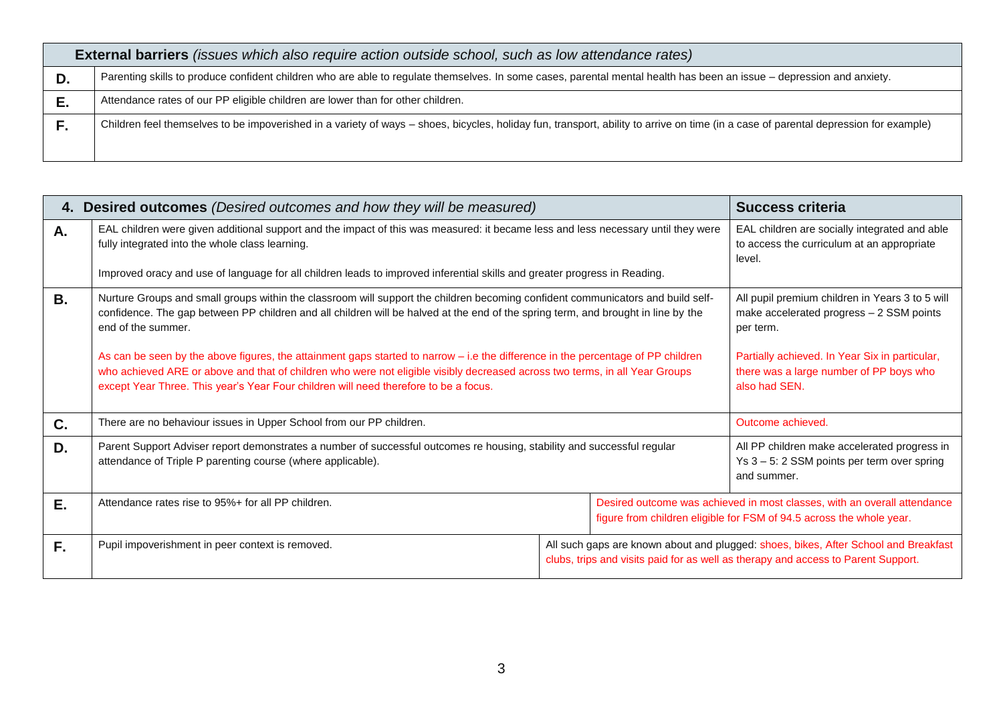| <b>External barriers</b> (issues which also require action outside school, such as low attendance rates)                                                                             |
|--------------------------------------------------------------------------------------------------------------------------------------------------------------------------------------|
| Parenting skills to produce confident children who are able to regulate themselves. In some cases, parental mental health has been an issue - depression and anxiety.                |
| Attendance rates of our PP eligible children are lower than for other children.                                                                                                      |
| Children feel themselves to be impoverished in a variety of ways - shoes, bicycles, holiday fun, transport, ability to arrive on time (in a case of parental depression for example) |
|                                                                                                                                                                                      |

——

|    | 4. Desired outcomes (Desired outcomes and how they will be measured)                                                                                                                                                                                                                                                                                                                                                                                                                                                                                                                                                                                  |                                                                                                                                                                          | <b>Success criteria</b>                                                                                                                                                                                                |                                                                                                                                                  |  |
|----|-------------------------------------------------------------------------------------------------------------------------------------------------------------------------------------------------------------------------------------------------------------------------------------------------------------------------------------------------------------------------------------------------------------------------------------------------------------------------------------------------------------------------------------------------------------------------------------------------------------------------------------------------------|--------------------------------------------------------------------------------------------------------------------------------------------------------------------------|------------------------------------------------------------------------------------------------------------------------------------------------------------------------------------------------------------------------|--------------------------------------------------------------------------------------------------------------------------------------------------|--|
| А. | EAL children were given additional support and the impact of this was measured: it became less and less necessary until they were<br>fully integrated into the whole class learning.<br>Improved oracy and use of language for all children leads to improved inferential skills and greater progress in Reading.                                                                                                                                                                                                                                                                                                                                     |                                                                                                                                                                          | EAL children are socially integrated and able<br>to access the curriculum at an appropriate<br>level.                                                                                                                  |                                                                                                                                                  |  |
| В. | Nurture Groups and small groups within the classroom will support the children becoming confident communicators and build self-<br>confidence. The gap between PP children and all children will be halved at the end of the spring term, and brought in line by the<br>end of the summer.<br>As can be seen by the above figures, the attainment gaps started to narrow – i.e the difference in the percentage of PP children<br>who achieved ARE or above and that of children who were not eligible visibly decreased across two terms, in all Year Groups<br>except Year Three. This year's Year Four children will need therefore to be a focus. |                                                                                                                                                                          | All pupil premium children in Years 3 to 5 will<br>make accelerated progress - 2 SSM points<br>per term.<br>Partially achieved. In Year Six in particular,<br>there was a large number of PP boys who<br>also had SEN. |                                                                                                                                                  |  |
| C. | There are no behaviour issues in Upper School from our PP children.                                                                                                                                                                                                                                                                                                                                                                                                                                                                                                                                                                                   |                                                                                                                                                                          |                                                                                                                                                                                                                        | Outcome achieved.                                                                                                                                |  |
| D. | Parent Support Adviser report demonstrates a number of successful outcomes re housing, stability and successful regular<br>attendance of Triple P parenting course (where applicable).                                                                                                                                                                                                                                                                                                                                                                                                                                                                |                                                                                                                                                                          | All PP children make accelerated progress in<br>Ys 3 - 5: 2 SSM points per term over spring<br>and summer.                                                                                                             |                                                                                                                                                  |  |
| Е. | Attendance rates rise to 95%+ for all PP children.                                                                                                                                                                                                                                                                                                                                                                                                                                                                                                                                                                                                    |                                                                                                                                                                          |                                                                                                                                                                                                                        | Desired outcome was achieved in most classes, with an overall attendance<br>figure from children eligible for FSM of 94.5 across the whole year. |  |
| F. | Pupil impoverishment in peer context is removed.                                                                                                                                                                                                                                                                                                                                                                                                                                                                                                                                                                                                      | All such gaps are known about and plugged: shoes, bikes, After School and Breakfast<br>clubs, trips and visits paid for as well as therapy and access to Parent Support. |                                                                                                                                                                                                                        |                                                                                                                                                  |  |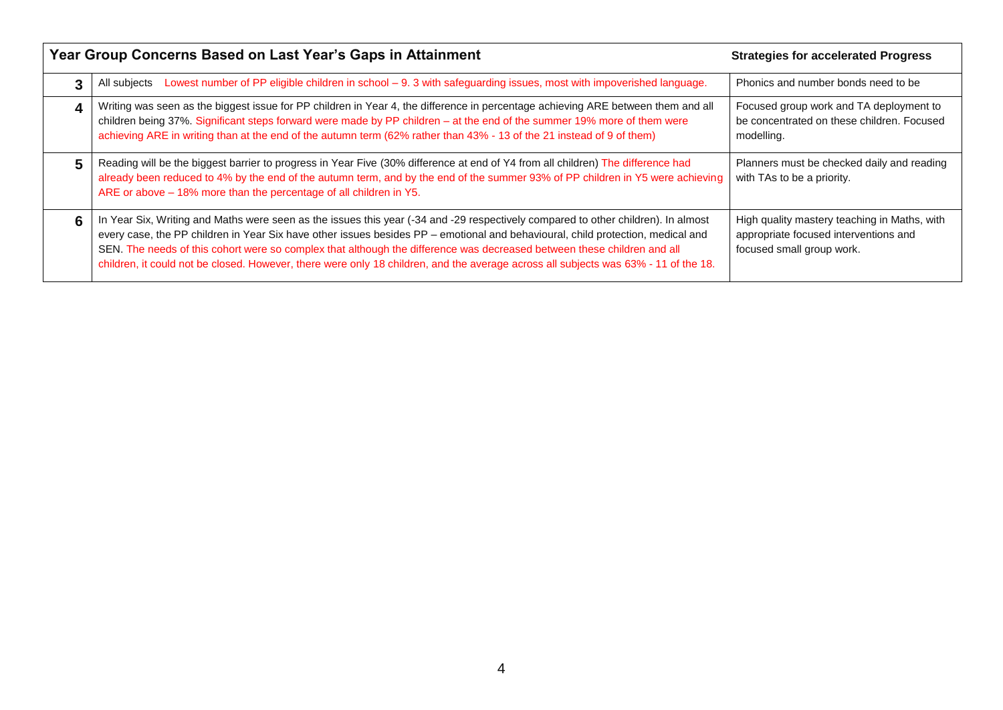|   | Year Group Concerns Based on Last Year's Gaps in Attainment                                                                                                                                                                                                                                                                                                                                                                                                                                                                            | <b>Strategies for accelerated Progress</b>                                                                         |
|---|----------------------------------------------------------------------------------------------------------------------------------------------------------------------------------------------------------------------------------------------------------------------------------------------------------------------------------------------------------------------------------------------------------------------------------------------------------------------------------------------------------------------------------------|--------------------------------------------------------------------------------------------------------------------|
|   | Lowest number of PP eligible children in school - 9. 3 with safeguarding issues, most with impoverished language.<br>All subjects                                                                                                                                                                                                                                                                                                                                                                                                      | Phonics and number bonds need to be                                                                                |
| 4 | Writing was seen as the biggest issue for PP children in Year 4, the difference in percentage achieving ARE between them and all<br>children being 37%. Significant steps forward were made by PP children - at the end of the summer 19% more of them were<br>achieving ARE in writing than at the end of the autumn term (62% rather than 43% - 13 of the 21 instead of 9 of them)                                                                                                                                                   | Focused group work and TA deployment to<br>be concentrated on these children. Focused<br>modelling.                |
| 5 | Reading will be the biggest barrier to progress in Year Five (30% difference at end of Y4 from all children) The difference had<br>already been reduced to 4% by the end of the autumn term, and by the end of the summer 93% of PP children in Y5 were achieving<br>ARE or above - 18% more than the percentage of all children in Y5.                                                                                                                                                                                                | Planners must be checked daily and reading<br>with TAs to be a priority.                                           |
| 6 | In Year Six, Writing and Maths were seen as the issues this year (-34 and -29 respectively compared to other children). In almost<br>every case, the PP children in Year Six have other issues besides PP - emotional and behavioural, child protection, medical and<br>SEN. The needs of this cohort were so complex that although the difference was decreased between these children and all<br>children, it could not be closed. However, there were only 18 children, and the average across all subjects was 63% - 11 of the 18. | High quality mastery teaching in Maths, with<br>appropriate focused interventions and<br>focused small group work. |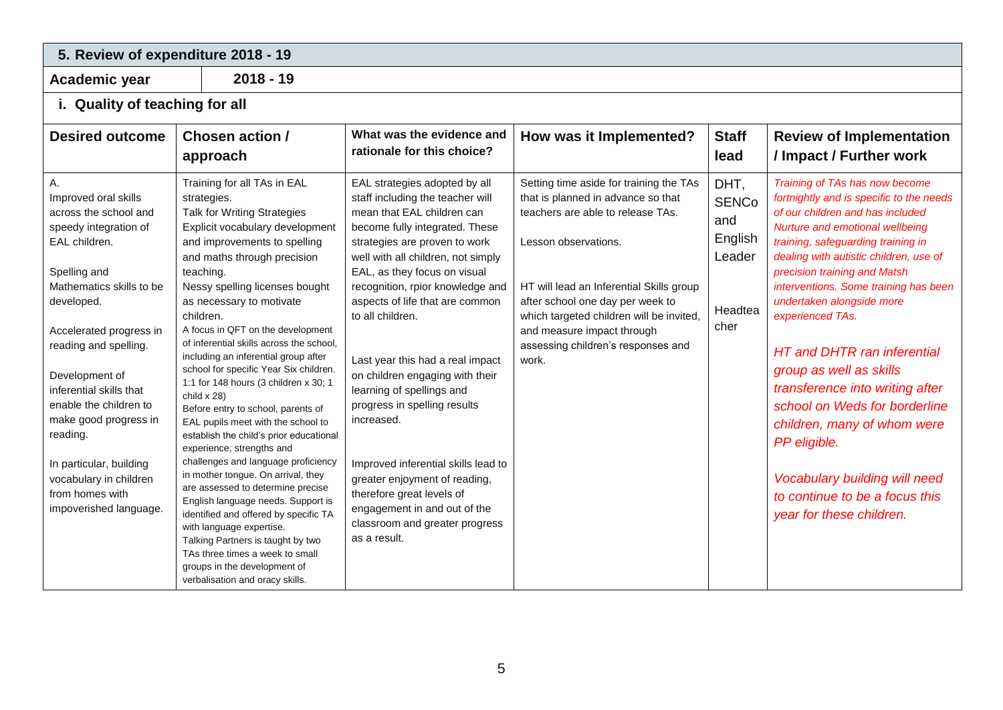# **5. Review of expenditure 2018 - 19**

**Academic year 2018 - 19**

## **i. Quality of teaching for all**

| <b>Desired outcome</b>                                                                                                                                                                                                                                                                                                                                                                                                    | <b>Chosen action /</b><br>approach                                                                                                                                                                                                                                                                                                                                                                                                                                                                                                                                                                                                                                                                                                                                                                                                                                                                                                                                                                                            | What was the evidence and<br>rationale for this choice?                                                                                                                                                                                                                                                                                                                                                                                                                                                                                                                                                                                                                      | How was it Implemented?                                                                                                                                                                                                                                                                                                                             | <b>Staff</b><br>lead                                                | <b>Review of Implementation</b><br>/ Impact / Further work                                                                                                                                                                                                                                                                                                                                                                                                                                                                                                                                                                                     |
|---------------------------------------------------------------------------------------------------------------------------------------------------------------------------------------------------------------------------------------------------------------------------------------------------------------------------------------------------------------------------------------------------------------------------|-------------------------------------------------------------------------------------------------------------------------------------------------------------------------------------------------------------------------------------------------------------------------------------------------------------------------------------------------------------------------------------------------------------------------------------------------------------------------------------------------------------------------------------------------------------------------------------------------------------------------------------------------------------------------------------------------------------------------------------------------------------------------------------------------------------------------------------------------------------------------------------------------------------------------------------------------------------------------------------------------------------------------------|------------------------------------------------------------------------------------------------------------------------------------------------------------------------------------------------------------------------------------------------------------------------------------------------------------------------------------------------------------------------------------------------------------------------------------------------------------------------------------------------------------------------------------------------------------------------------------------------------------------------------------------------------------------------------|-----------------------------------------------------------------------------------------------------------------------------------------------------------------------------------------------------------------------------------------------------------------------------------------------------------------------------------------------------|---------------------------------------------------------------------|------------------------------------------------------------------------------------------------------------------------------------------------------------------------------------------------------------------------------------------------------------------------------------------------------------------------------------------------------------------------------------------------------------------------------------------------------------------------------------------------------------------------------------------------------------------------------------------------------------------------------------------------|
| А.<br>Improved oral skills<br>across the school and<br>speedy integration of<br>EAL children.<br>Spelling and<br>Mathematics skills to be<br>developed.<br>Accelerated progress in<br>reading and spelling.<br>Development of<br>inferential skills that<br>enable the children to<br>make good progress in<br>reading.<br>In particular, building<br>vocabulary in children<br>from homes with<br>impoverished language. | Training for all TAs in EAL<br>strategies.<br>Talk for Writing Strategies<br>Explicit vocabulary development<br>and improvements to spelling<br>and maths through precision<br>teaching.<br>Nessy spelling licenses bought<br>as necessary to motivate<br>children.<br>A focus in QFT on the development<br>of inferential skills across the school.<br>including an inferential group after<br>school for specific Year Six children.<br>1:1 for 148 hours (3 children x 30; 1<br>child $x 28$ )<br>Before entry to school, parents of<br>EAL pupils meet with the school to<br>establish the child's prior educational<br>experience, strengths and<br>challenges and language proficiency<br>in mother tongue. On arrival, they<br>are assessed to determine precise<br>English language needs. Support is<br>identified and offered by specific TA<br>with language expertise.<br>Talking Partners is taught by two<br>TAs three times a week to small<br>groups in the development of<br>verbalisation and oracy skills. | EAL strategies adopted by all<br>staff including the teacher will<br>mean that EAL children can<br>become fully integrated. These<br>strategies are proven to work<br>well with all children, not simply<br>EAL, as they focus on visual<br>recognition, rpior knowledge and<br>aspects of life that are common<br>to all children.<br>Last year this had a real impact<br>on children engaging with their<br>learning of spellings and<br>progress in spelling results<br>increased.<br>Improved inferential skills lead to<br>greater enjoyment of reading,<br>therefore great levels of<br>engagement in and out of the<br>classroom and greater progress<br>as a result. | Setting time aside for training the TAs<br>that is planned in advance so that<br>teachers are able to release TAs.<br>Lesson observations.<br>HT will lead an Inferential Skills group<br>after school one day per week to<br>which targeted children will be invited,<br>and measure impact through<br>assessing children's responses and<br>work. | DHT,<br><b>SENCo</b><br>and<br>English<br>Leader<br>Headtea<br>cher | Training of TAs has now become<br>fortnightly and is specific to the needs<br>of our children and has included<br>Nurture and emotional wellbeing<br>training, safeguarding training in<br>dealing with autistic children, use of<br>precision training and Matsh<br>interventions. Some training has been<br>undertaken alongside more<br>experienced TAs.<br><b>HT</b> and DHTR ran inferential<br>group as well as skills<br>transference into writing after<br>school on Weds for borderline<br>children, many of whom were<br>PP eligible.<br>Vocabulary building will need<br>to continue to be a focus this<br>year for these children. |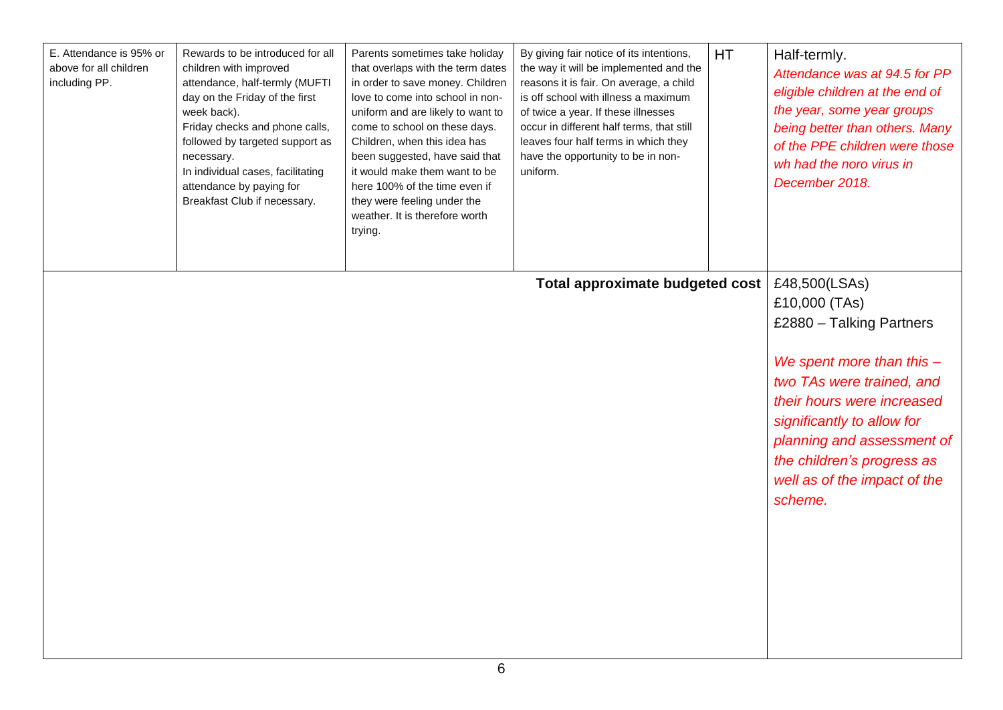| E. Attendance is 95% or<br>above for all children<br>including PP. | Rewards to be introduced for all<br>children with improved<br>attendance, half-termly (MUFTI<br>day on the Friday of the first<br>week back).<br>Friday checks and phone calls,<br>followed by targeted support as<br>necessary.<br>In individual cases, facilitating<br>attendance by paying for<br>Breakfast Club if necessary. | Parents sometimes take holiday<br>that overlaps with the term dates<br>in order to save money. Children<br>love to come into school in non-<br>uniform and are likely to want to<br>come to school on these days.<br>Children, when this idea has<br>been suggested, have said that<br>it would make them want to be<br>here 100% of the time even if<br>they were feeling under the<br>weather. It is therefore worth<br>trying. | By giving fair notice of its intentions,<br>the way it will be implemented and the<br>reasons it is fair. On average, a child<br>is off school with illness a maximum<br>of twice a year. If these illnesses<br>occur in different half terms, that still<br>leaves four half terms in which they<br>have the opportunity to be in non-<br>uniform. | <b>HT</b> | Half-termly.<br>Attendance was at 94.5 for PP<br>eligible children at the end of<br>the year, some year groups<br>being better than others. Many<br>of the PPE children were those<br>wh had the noro virus in<br>December 2018.                                                          |
|--------------------------------------------------------------------|-----------------------------------------------------------------------------------------------------------------------------------------------------------------------------------------------------------------------------------------------------------------------------------------------------------------------------------|-----------------------------------------------------------------------------------------------------------------------------------------------------------------------------------------------------------------------------------------------------------------------------------------------------------------------------------------------------------------------------------------------------------------------------------|-----------------------------------------------------------------------------------------------------------------------------------------------------------------------------------------------------------------------------------------------------------------------------------------------------------------------------------------------------|-----------|-------------------------------------------------------------------------------------------------------------------------------------------------------------------------------------------------------------------------------------------------------------------------------------------|
|                                                                    |                                                                                                                                                                                                                                                                                                                                   |                                                                                                                                                                                                                                                                                                                                                                                                                                   | Total approximate budgeted cost                                                                                                                                                                                                                                                                                                                     |           | £48,500(LSAs)<br>£10,000 (TAs)<br>£2880 - Talking Partners<br>We spent more than this $-$<br>two TAs were trained, and<br>their hours were increased<br>significantly to allow for<br>planning and assessment of<br>the children's progress as<br>well as of the impact of the<br>scheme. |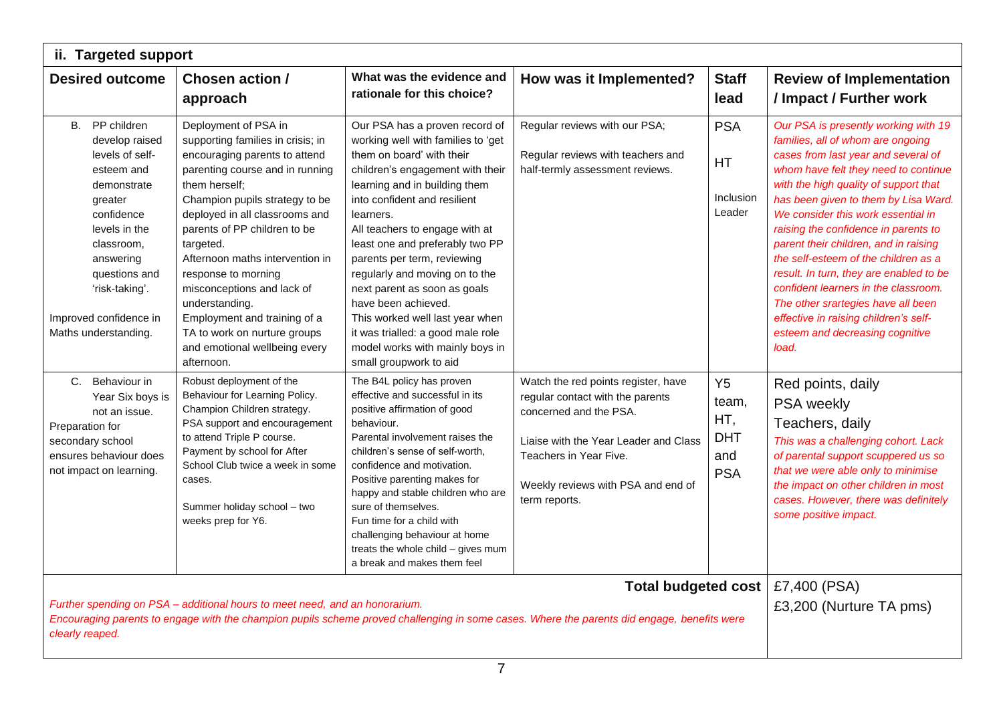|                                                                                                                                                                                                                                            | ii. Targeted support                                                                                                                                                                                                                                                                                                                                                                                                                                                                     |                                                                                                                                                                                                                                                                                                                                                                                                                                                                                                                                                       |                                                                                                                                                                                                                             |                                                                   |                                                                                                                                                                                                                                                                                                                                                                                                                                                                                                                                                                                                                        |
|--------------------------------------------------------------------------------------------------------------------------------------------------------------------------------------------------------------------------------------------|------------------------------------------------------------------------------------------------------------------------------------------------------------------------------------------------------------------------------------------------------------------------------------------------------------------------------------------------------------------------------------------------------------------------------------------------------------------------------------------|-------------------------------------------------------------------------------------------------------------------------------------------------------------------------------------------------------------------------------------------------------------------------------------------------------------------------------------------------------------------------------------------------------------------------------------------------------------------------------------------------------------------------------------------------------|-----------------------------------------------------------------------------------------------------------------------------------------------------------------------------------------------------------------------------|-------------------------------------------------------------------|------------------------------------------------------------------------------------------------------------------------------------------------------------------------------------------------------------------------------------------------------------------------------------------------------------------------------------------------------------------------------------------------------------------------------------------------------------------------------------------------------------------------------------------------------------------------------------------------------------------------|
| <b>Desired outcome</b>                                                                                                                                                                                                                     | Chosen action /<br>approach                                                                                                                                                                                                                                                                                                                                                                                                                                                              | What was the evidence and<br>rationale for this choice?                                                                                                                                                                                                                                                                                                                                                                                                                                                                                               | How was it Implemented?                                                                                                                                                                                                     | <b>Staff</b><br>lead                                              | <b>Review of Implementation</b><br>/ Impact / Further work                                                                                                                                                                                                                                                                                                                                                                                                                                                                                                                                                             |
| B. PP children<br>develop raised<br>levels of self-<br>esteem and<br>demonstrate<br>greater<br>confidence<br>levels in the<br>classroom,<br>answering<br>questions and<br>'risk-taking'.<br>Improved confidence in<br>Maths understanding. | Deployment of PSA in<br>supporting families in crisis; in<br>encouraging parents to attend<br>parenting course and in running<br>them herself;<br>Champion pupils strategy to be<br>deployed in all classrooms and<br>parents of PP children to be<br>targeted.<br>Afternoon maths intervention in<br>response to morning<br>misconceptions and lack of<br>understanding.<br>Employment and training of a<br>TA to work on nurture groups<br>and emotional wellbeing every<br>afternoon. | Our PSA has a proven record of<br>working well with families to 'get<br>them on board' with their<br>children's engagement with their<br>learning and in building them<br>into confident and resilient<br>learners.<br>All teachers to engage with at<br>least one and preferably two PP<br>parents per term, reviewing<br>regularly and moving on to the<br>next parent as soon as goals<br>have been achieved.<br>This worked well last year when<br>it was trialled: a good male role<br>model works with mainly boys in<br>small groupwork to aid | Regular reviews with our PSA;<br>Regular reviews with teachers and<br>half-termly assessment reviews.                                                                                                                       | <b>PSA</b><br>HT<br>Inclusion<br>Leader                           | Our PSA is presently working with 19<br>families, all of whom are ongoing<br>cases from last year and several of<br>whom have felt they need to continue<br>with the high quality of support that<br>has been given to them by Lisa Ward.<br>We consider this work essential in<br>raising the confidence in parents to<br>parent their children, and in raising<br>the self-esteem of the children as a<br>result. In turn, they are enabled to be<br>confident learners in the classroom.<br>The other srartegies have all been<br>effective in raising children's self-<br>esteem and decreasing cognitive<br>load. |
| C. Behaviour in<br>Year Six boys is<br>not an issue.<br>Preparation for<br>secondary school<br>ensures behaviour does<br>not impact on learning.                                                                                           | Robust deployment of the<br>Behaviour for Learning Policy.<br>Champion Children strategy.<br>PSA support and encouragement<br>to attend Triple P course.<br>Payment by school for After<br>School Club twice a week in some<br>cases.<br>Summer holiday school - two<br>weeks prep for Y6.                                                                                                                                                                                               | The B4L policy has proven<br>effective and successful in its<br>positive affirmation of good<br>behaviour.<br>Parental involvement raises the<br>children's sense of self-worth.<br>confidence and motivation.<br>Positive parenting makes for<br>happy and stable children who are<br>sure of themselves.<br>Fun time for a child with<br>challenging behaviour at home<br>treats the whole child - gives mum<br>a break and makes them feel                                                                                                         | Watch the red points register, have<br>regular contact with the parents<br>concerned and the PSA.<br>Liaise with the Year Leader and Class<br>Teachers in Year Five.<br>Weekly reviews with PSA and end of<br>term reports. | Y <sub>5</sub><br>team,<br>HT,<br><b>DHT</b><br>and<br><b>PSA</b> | Red points, daily<br>PSA weekly<br>Teachers, daily<br>This was a challenging cohort. Lack<br>of parental support scuppered us so<br>that we were able only to minimise<br>the impact on other children in most<br>cases. However, there was definitely<br>some positive impact.                                                                                                                                                                                                                                                                                                                                        |
| clearly reaped.                                                                                                                                                                                                                            | Further spending on PSA - additional hours to meet need, and an honorarium.                                                                                                                                                                                                                                                                                                                                                                                                              |                                                                                                                                                                                                                                                                                                                                                                                                                                                                                                                                                       | Total budgeted cost<br>Encouraging parents to engage with the champion pupils scheme proved challenging in some cases. Where the parents did engage, benefits were                                                          |                                                                   | £7,400 (PSA)<br>£3,200 (Nurture TA pms)                                                                                                                                                                                                                                                                                                                                                                                                                                                                                                                                                                                |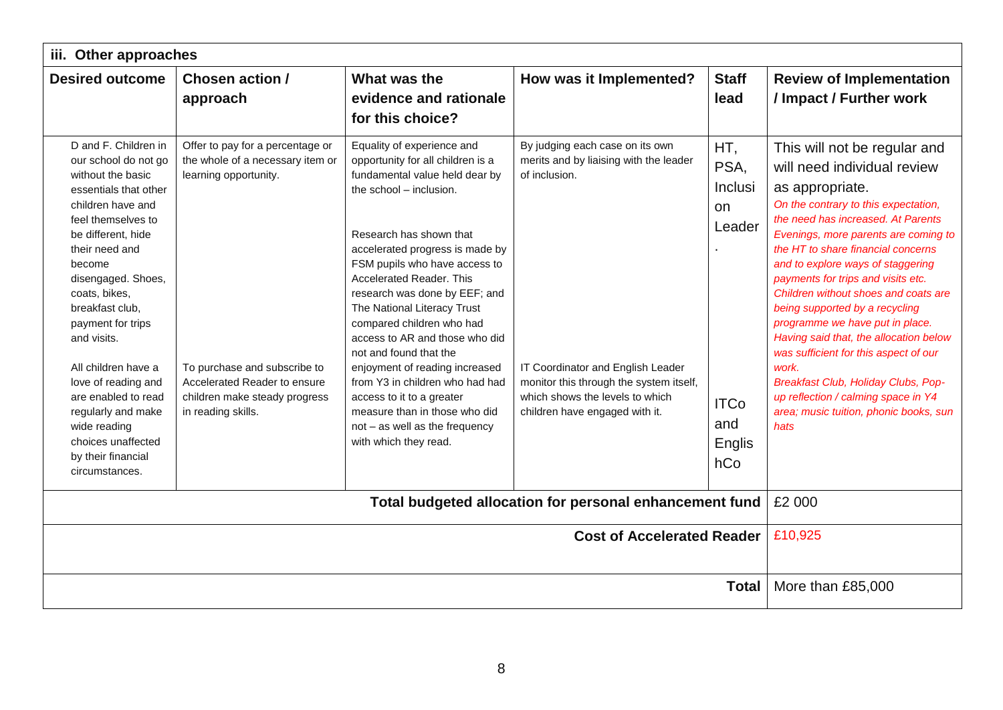| iii. Other approaches                                                                                                                                                                                                                                                                                                                                                                                                                                          |                                                                                                                                                                                                                      |                                                                                                                                                                                                                                                                                                                                                                                                                                                                                                                                                                                                                       |                                                                                                                                                                                                                                                 |                                                                               |                                                                                                                                                                                                                                                                                                                                                                                                                                                                                                                                                                                                                                                                |
|----------------------------------------------------------------------------------------------------------------------------------------------------------------------------------------------------------------------------------------------------------------------------------------------------------------------------------------------------------------------------------------------------------------------------------------------------------------|----------------------------------------------------------------------------------------------------------------------------------------------------------------------------------------------------------------------|-----------------------------------------------------------------------------------------------------------------------------------------------------------------------------------------------------------------------------------------------------------------------------------------------------------------------------------------------------------------------------------------------------------------------------------------------------------------------------------------------------------------------------------------------------------------------------------------------------------------------|-------------------------------------------------------------------------------------------------------------------------------------------------------------------------------------------------------------------------------------------------|-------------------------------------------------------------------------------|----------------------------------------------------------------------------------------------------------------------------------------------------------------------------------------------------------------------------------------------------------------------------------------------------------------------------------------------------------------------------------------------------------------------------------------------------------------------------------------------------------------------------------------------------------------------------------------------------------------------------------------------------------------|
| <b>Desired outcome</b>                                                                                                                                                                                                                                                                                                                                                                                                                                         | Chosen action /<br>approach                                                                                                                                                                                          | What was the<br>evidence and rationale<br>for this choice?                                                                                                                                                                                                                                                                                                                                                                                                                                                                                                                                                            | How was it Implemented?                                                                                                                                                                                                                         | <b>Staff</b><br>lead                                                          | <b>Review of Implementation</b><br>/ Impact / Further work                                                                                                                                                                                                                                                                                                                                                                                                                                                                                                                                                                                                     |
| D and F. Children in<br>our school do not go<br>without the basic<br>essentials that other<br>children have and<br>feel themselves to<br>be different, hide<br>their need and<br>become<br>disengaged. Shoes,<br>coats, bikes,<br>breakfast club.<br>payment for trips<br>and visits.<br>All children have a<br>love of reading and<br>are enabled to read<br>regularly and make<br>wide reading<br>choices unaffected<br>by their financial<br>circumstances. | Offer to pay for a percentage or<br>the whole of a necessary item or<br>learning opportunity.<br>To purchase and subscribe to<br>Accelerated Reader to ensure<br>children make steady progress<br>in reading skills. | Equality of experience and<br>opportunity for all children is a<br>fundamental value held dear by<br>the school - inclusion.<br>Research has shown that<br>accelerated progress is made by<br>FSM pupils who have access to<br><b>Accelerated Reader, This</b><br>research was done by EEF; and<br>The National Literacy Trust<br>compared children who had<br>access to AR and those who did<br>not and found that the<br>enjoyment of reading increased<br>from Y3 in children who had had<br>access to it to a greater<br>measure than in those who did<br>not - as well as the frequency<br>with which they read. | By judging each case on its own<br>merits and by liaising with the leader<br>of inclusion.<br>IT Coordinator and English Leader<br>monitor this through the system itself,<br>which shows the levels to which<br>children have engaged with it. | HT,<br>PSA,<br>Inclusi<br>on<br>Leader<br><b>ITCo</b><br>and<br>Englis<br>hCo | This will not be regular and<br>will need individual review<br>as appropriate.<br>On the contrary to this expectation,<br>the need has increased. At Parents<br>Evenings, more parents are coming to<br>the HT to share financial concerns<br>and to explore ways of staggering<br>payments for trips and visits etc.<br>Children without shoes and coats are<br>being supported by a recycling<br>programme we have put in place.<br>Having said that, the allocation below<br>was sufficient for this aspect of our<br>work.<br>Breakfast Club, Holiday Clubs, Pop-<br>up reflection / calming space in Y4<br>area; music tuition, phonic books, sun<br>hats |
| Total budgeted allocation for personal enhancement fund                                                                                                                                                                                                                                                                                                                                                                                                        |                                                                                                                                                                                                                      |                                                                                                                                                                                                                                                                                                                                                                                                                                                                                                                                                                                                                       |                                                                                                                                                                                                                                                 | £2 000                                                                        |                                                                                                                                                                                                                                                                                                                                                                                                                                                                                                                                                                                                                                                                |
| <b>Cost of Accelerated Reader</b>                                                                                                                                                                                                                                                                                                                                                                                                                              |                                                                                                                                                                                                                      |                                                                                                                                                                                                                                                                                                                                                                                                                                                                                                                                                                                                                       |                                                                                                                                                                                                                                                 | £10,925                                                                       |                                                                                                                                                                                                                                                                                                                                                                                                                                                                                                                                                                                                                                                                |
|                                                                                                                                                                                                                                                                                                                                                                                                                                                                |                                                                                                                                                                                                                      |                                                                                                                                                                                                                                                                                                                                                                                                                                                                                                                                                                                                                       |                                                                                                                                                                                                                                                 | <b>Total</b>                                                                  | More than £85,000                                                                                                                                                                                                                                                                                                                                                                                                                                                                                                                                                                                                                                              |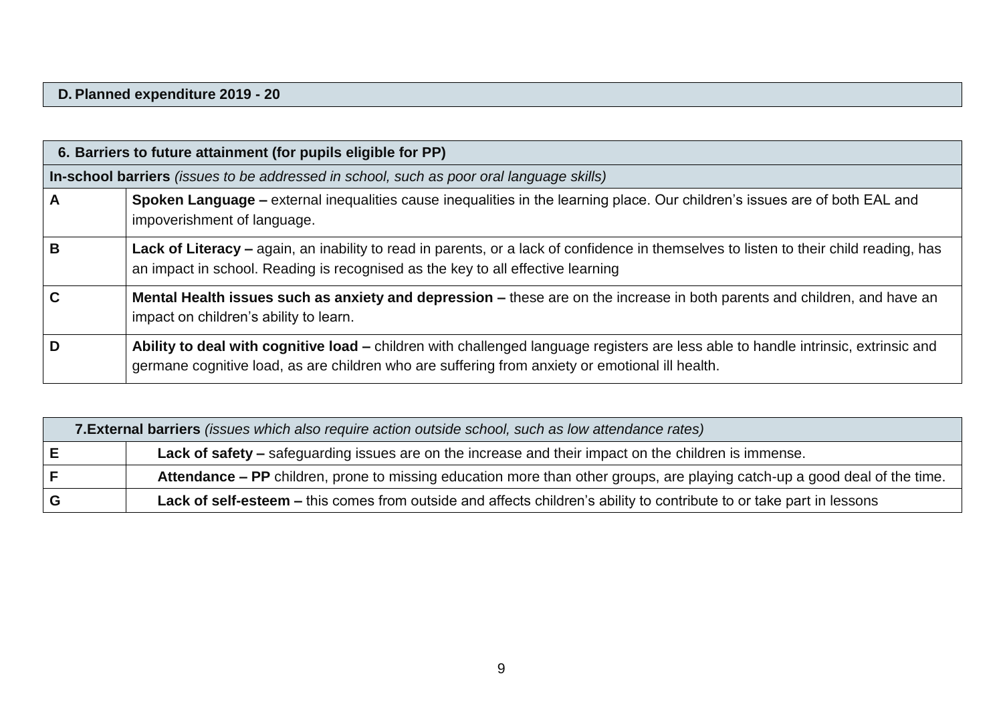#### **D. Planned expenditure 2019 - 20**

|             | 6. Barriers to future attainment (for pupils eligible for PP)                                                                                                                                                                         |
|-------------|---------------------------------------------------------------------------------------------------------------------------------------------------------------------------------------------------------------------------------------|
|             | In-school barriers (issues to be addressed in school, such as poor oral language skills)                                                                                                                                              |
| A           | Spoken Language – external inequalities cause inequalities in the learning place. Our children's issues are of both EAL and<br>impoverishment of language.                                                                            |
| B           | Lack of Literacy - again, an inability to read in parents, or a lack of confidence in themselves to listen to their child reading, has<br>an impact in school. Reading is recognised as the key to all effective learning             |
| $\mathbf C$ | Mental Health issues such as anxiety and depression – these are on the increase in both parents and children, and have an<br>impact on children's ability to learn.                                                                   |
| D           | Ability to deal with cognitive load – children with challenged language registers are less able to handle intrinsic, extrinsic and<br>germane cognitive load, as are children who are suffering from anxiety or emotional ill health. |

| 7. External barriers (issues which also require action outside school, such as low attendance rates)                       |
|----------------------------------------------------------------------------------------------------------------------------|
| <b>Lack of safety</b> – safeguarding issues are on the increase and their impact on the children is immense.               |
| Attendance - PP children, prone to missing education more than other groups, are playing catch-up a good deal of the time. |
| Lack of self-esteem – this comes from outside and affects children's ability to contribute to or take part in lessons      |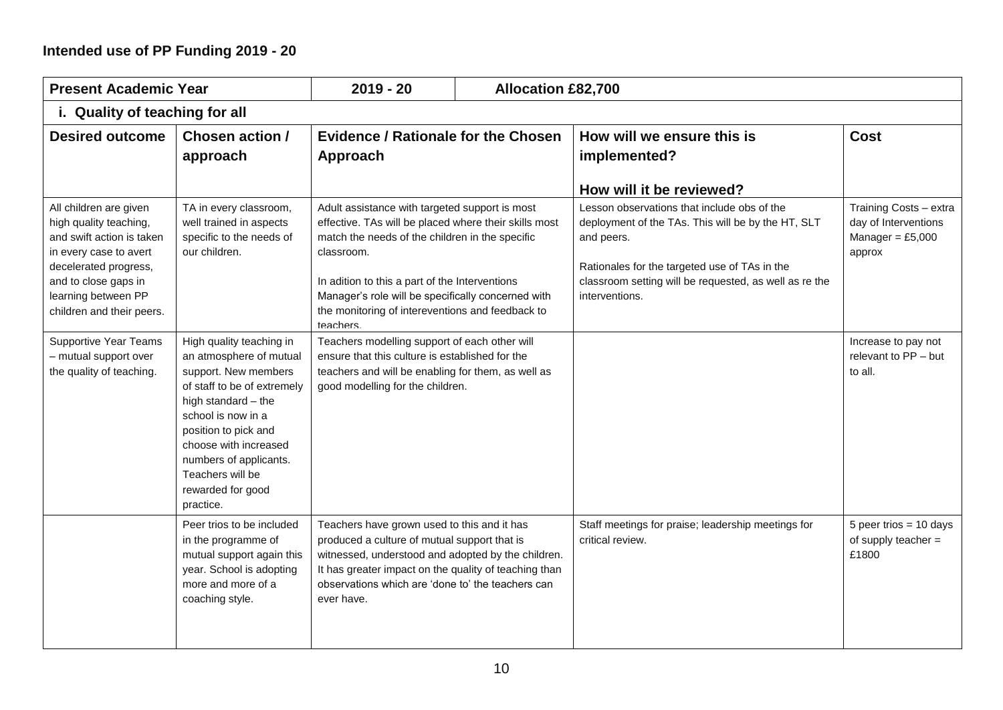## **Intended use of PP Funding 2019 - 20**

| <b>Present Academic Year</b>                                                                                                                                                                                 |                                                                                                                                                                                                                                                                                          | $2019 - 20$                                                                                                                                                                                                                                                                                                                                      |  | <b>Allocation £82,700</b>                                                                                                                                                                                                                    |                                                                                |
|--------------------------------------------------------------------------------------------------------------------------------------------------------------------------------------------------------------|------------------------------------------------------------------------------------------------------------------------------------------------------------------------------------------------------------------------------------------------------------------------------------------|--------------------------------------------------------------------------------------------------------------------------------------------------------------------------------------------------------------------------------------------------------------------------------------------------------------------------------------------------|--|----------------------------------------------------------------------------------------------------------------------------------------------------------------------------------------------------------------------------------------------|--------------------------------------------------------------------------------|
| i. Quality of teaching for all                                                                                                                                                                               |                                                                                                                                                                                                                                                                                          |                                                                                                                                                                                                                                                                                                                                                  |  |                                                                                                                                                                                                                                              |                                                                                |
| <b>Desired outcome</b>                                                                                                                                                                                       | Chosen action /<br>approach                                                                                                                                                                                                                                                              | <b>Evidence / Rationale for the Chosen</b><br>Approach                                                                                                                                                                                                                                                                                           |  | How will we ensure this is<br>implemented?                                                                                                                                                                                                   | <b>Cost</b>                                                                    |
|                                                                                                                                                                                                              |                                                                                                                                                                                                                                                                                          |                                                                                                                                                                                                                                                                                                                                                  |  | How will it be reviewed?                                                                                                                                                                                                                     |                                                                                |
| All children are given<br>high quality teaching,<br>and swift action is taken<br>in every case to avert<br>decelerated progress,<br>and to close gaps in<br>learning between PP<br>children and their peers. | TA in every classroom,<br>well trained in aspects<br>specific to the needs of<br>our children.                                                                                                                                                                                           | Adult assistance with targeted support is most<br>effective. TAs will be placed where their skills most<br>match the needs of the children in the specific<br>classroom.<br>In adition to this a part of the Interventions<br>Manager's role will be specifically concerned with<br>the monitoring of intereventions and feedback to<br>teachers |  | Lesson observations that include obs of the<br>deployment of the TAs. This will be by the HT, SLT<br>and peers.<br>Rationales for the targeted use of TAs in the<br>classroom setting will be requested, as well as re the<br>interventions. | Training Costs - extra<br>day of Interventions<br>Manager = $£5,000$<br>approx |
| <b>Supportive Year Teams</b><br>- mutual support over<br>the quality of teaching.                                                                                                                            | High quality teaching in<br>an atmosphere of mutual<br>support. New members<br>of staff to be of extremely<br>high standard - the<br>school is now in a<br>position to pick and<br>choose with increased<br>numbers of applicants.<br>Teachers will be<br>rewarded for good<br>practice. | Teachers modelling support of each other will<br>ensure that this culture is established for the<br>teachers and will be enabling for them, as well as<br>good modelling for the children.                                                                                                                                                       |  |                                                                                                                                                                                                                                              | Increase to pay not<br>relevant to PP - but<br>to all.                         |
|                                                                                                                                                                                                              | Peer trios to be included<br>in the programme of<br>mutual support again this<br>year. School is adopting<br>more and more of a<br>coaching style.                                                                                                                                       | Teachers have grown used to this and it has<br>produced a culture of mutual support that is<br>witnessed, understood and adopted by the children.<br>It has greater impact on the quality of teaching than<br>observations which are 'done to' the teachers can<br>ever have.                                                                    |  | Staff meetings for praise; leadership meetings for<br>critical review.                                                                                                                                                                       | 5 peer trios = $10 \text{ days}$<br>of supply teacher $=$<br>£1800             |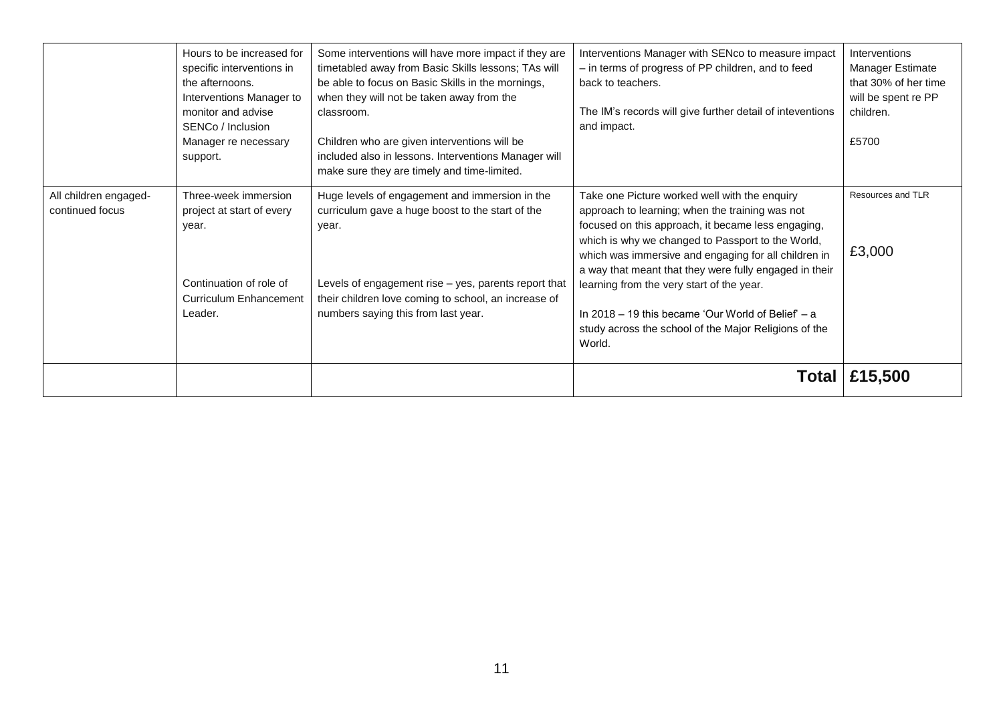|                                          | Hours to be increased for<br>specific interventions in<br>the afternoons.<br>Interventions Manager to<br>monitor and advise<br>SENCo / Inclusion<br>Manager re necessary<br>support. | Some interventions will have more impact if they are<br>timetabled away from Basic Skills lessons; TAs will<br>be able to focus on Basic Skills in the mornings,<br>when they will not be taken away from the<br>classroom.<br>Children who are given interventions will be<br>included also in lessons. Interventions Manager will<br>make sure they are timely and time-limited. | Interventions Manager with SENco to measure impact<br>- in terms of progress of PP children, and to feed<br>back to teachers.<br>The IM's records will give further detail of inteventions<br>and impact.                                                                                                                                                                                                                                                                                             | Interventions<br><b>Manager Estimate</b><br>that 30% of her time<br>will be spent re PP<br>children.<br>£5700 |
|------------------------------------------|--------------------------------------------------------------------------------------------------------------------------------------------------------------------------------------|------------------------------------------------------------------------------------------------------------------------------------------------------------------------------------------------------------------------------------------------------------------------------------------------------------------------------------------------------------------------------------|-------------------------------------------------------------------------------------------------------------------------------------------------------------------------------------------------------------------------------------------------------------------------------------------------------------------------------------------------------------------------------------------------------------------------------------------------------------------------------------------------------|---------------------------------------------------------------------------------------------------------------|
| All children engaged-<br>continued focus | Three-week immersion<br>project at start of every<br>year.<br>Continuation of role of<br><b>Curriculum Enhancement</b><br>Leader.                                                    | Huge levels of engagement and immersion in the<br>curriculum gave a huge boost to the start of the<br>year.<br>Levels of engagement rise - yes, parents report that<br>their children love coming to school, an increase of<br>numbers saying this from last year.                                                                                                                 | Take one Picture worked well with the enquiry<br>approach to learning; when the training was not<br>focused on this approach, it became less engaging,<br>which is why we changed to Passport to the World,<br>which was immersive and engaging for all children in<br>a way that meant that they were fully engaged in their<br>learning from the very start of the year.<br>In 2018 – 19 this became 'Our World of Belief' $- a$<br>study across the school of the Major Religions of the<br>World. | Resources and TLR<br>£3,000                                                                                   |
|                                          |                                                                                                                                                                                      |                                                                                                                                                                                                                                                                                                                                                                                    |                                                                                                                                                                                                                                                                                                                                                                                                                                                                                                       | <b>Total   £15,500</b>                                                                                        |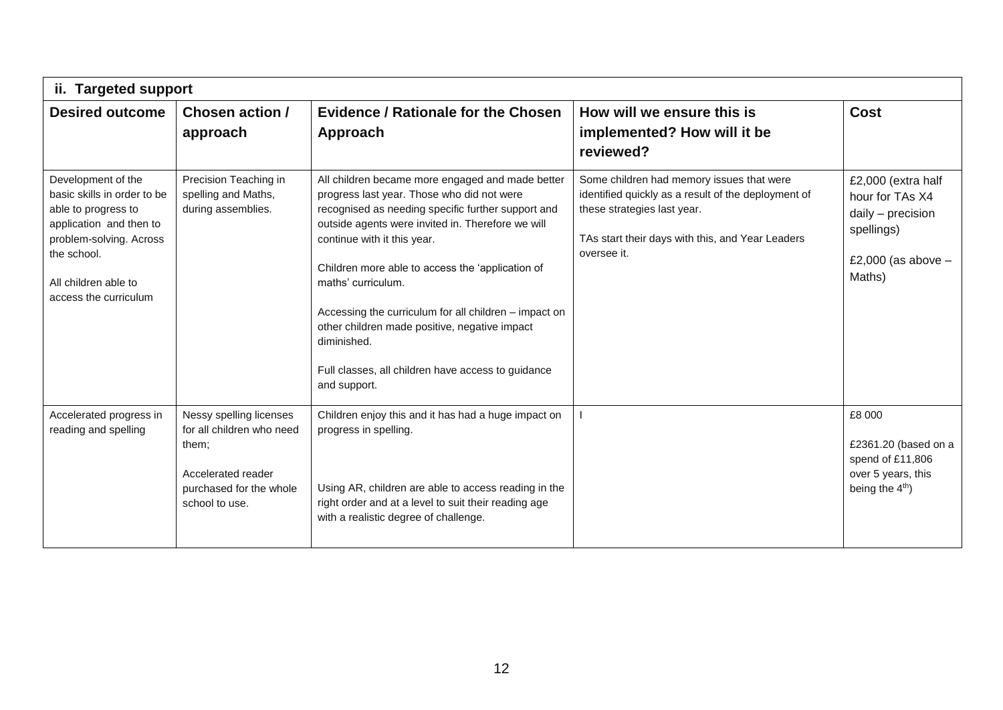| ii. Targeted support                                                                                                                                                                           |                                                                                                                                  |                                                                                                                                                                                                                                                                                                                                                                                                                                                                                                                   |                                                                                                                                                                                                    |                                                                                                            |  |
|------------------------------------------------------------------------------------------------------------------------------------------------------------------------------------------------|----------------------------------------------------------------------------------------------------------------------------------|-------------------------------------------------------------------------------------------------------------------------------------------------------------------------------------------------------------------------------------------------------------------------------------------------------------------------------------------------------------------------------------------------------------------------------------------------------------------------------------------------------------------|----------------------------------------------------------------------------------------------------------------------------------------------------------------------------------------------------|------------------------------------------------------------------------------------------------------------|--|
| <b>Desired outcome</b>                                                                                                                                                                         | Chosen action /<br>approach                                                                                                      | <b>Evidence / Rationale for the Chosen</b><br>Approach                                                                                                                                                                                                                                                                                                                                                                                                                                                            | How will we ensure this is<br>implemented? How will it be<br>reviewed?                                                                                                                             | <b>Cost</b>                                                                                                |  |
| Development of the<br>basic skills in order to be<br>able to progress to<br>application and then to<br>problem-solving. Across<br>the school.<br>All children able to<br>access the curriculum | Precision Teaching in<br>spelling and Maths,<br>during assemblies.                                                               | All children became more engaged and made better<br>progress last year. Those who did not were<br>recognised as needing specific further support and<br>outside agents were invited in. Therefore we will<br>continue with it this year.<br>Children more able to access the 'application of<br>maths' curriculum.<br>Accessing the curriculum for all children - impact on<br>other children made positive, negative impact<br>diminished.<br>Full classes, all children have access to guidance<br>and support. | Some children had memory issues that were<br>identified quickly as a result of the deployment of<br>these strategies last year.<br>TAs start their days with this, and Year Leaders<br>oversee it. | £2,000 (extra half<br>hour for TAs X4<br>daily - precision<br>spellings)<br>£2,000 (as above $-$<br>Maths) |  |
| Accelerated progress in<br>reading and spelling                                                                                                                                                | Nessy spelling licenses<br>for all children who need<br>them;<br>Accelerated reader<br>purchased for the whole<br>school to use. | Children enjoy this and it has had a huge impact on<br>progress in spelling.<br>Using AR, children are able to access reading in the<br>right order and at a level to suit their reading age<br>with a realistic degree of challenge.                                                                                                                                                                                                                                                                             |                                                                                                                                                                                                    | £8 000<br>£2361.20 (based on a<br>spend of £11,806<br>over 5 years, this<br>being the 4 <sup>th</sup> )    |  |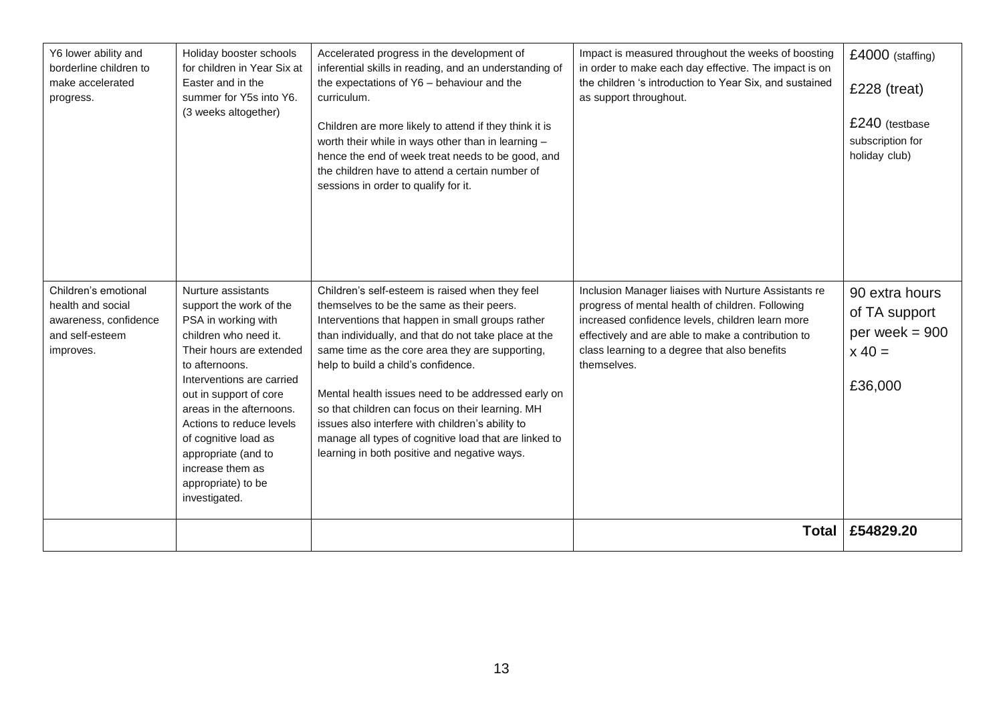| Y6 lower ability and<br>borderline children to<br>make accelerated<br>progress.                    | Holiday booster schools<br>for children in Year Six at<br>Easter and in the<br>summer for Y5s into Y6.<br>(3 weeks altogether)                                                                                                                                                                                                                                       | Accelerated progress in the development of<br>inferential skills in reading, and an understanding of<br>the expectations of Y6 - behaviour and the<br>curriculum.<br>Children are more likely to attend if they think it is<br>worth their while in ways other than in learning -<br>hence the end of week treat needs to be good, and<br>the children have to attend a certain number of<br>sessions in order to qualify for it.                                                                                                                                         | Impact is measured throughout the weeks of boosting<br>in order to make each day effective. The impact is on<br>the children 's introduction to Year Six, and sustained<br>as support throughout.                                                                                  | £4000 (staffing)<br>$£228$ (treat)<br>£240 (testbase<br>subscription for<br>holiday club) |
|----------------------------------------------------------------------------------------------------|----------------------------------------------------------------------------------------------------------------------------------------------------------------------------------------------------------------------------------------------------------------------------------------------------------------------------------------------------------------------|---------------------------------------------------------------------------------------------------------------------------------------------------------------------------------------------------------------------------------------------------------------------------------------------------------------------------------------------------------------------------------------------------------------------------------------------------------------------------------------------------------------------------------------------------------------------------|------------------------------------------------------------------------------------------------------------------------------------------------------------------------------------------------------------------------------------------------------------------------------------|-------------------------------------------------------------------------------------------|
| Children's emotional<br>health and social<br>awareness, confidence<br>and self-esteem<br>improves. | Nurture assistants<br>support the work of the<br>PSA in working with<br>children who need it.<br>Their hours are extended<br>to afternoons.<br>Interventions are carried<br>out in support of core<br>areas in the afternoons.<br>Actions to reduce levels<br>of cognitive load as<br>appropriate (and to<br>increase them as<br>appropriate) to be<br>investigated. | Children's self-esteem is raised when they feel<br>themselves to be the same as their peers.<br>Interventions that happen in small groups rather<br>than individually, and that do not take place at the<br>same time as the core area they are supporting,<br>help to build a child's confidence.<br>Mental health issues need to be addressed early on<br>so that children can focus on their learning. MH<br>issues also interfere with children's ability to<br>manage all types of cognitive load that are linked to<br>learning in both positive and negative ways. | Inclusion Manager liaises with Nurture Assistants re<br>progress of mental health of children. Following<br>increased confidence levels, children learn more<br>effectively and are able to make a contribution to<br>class learning to a degree that also benefits<br>themselves. | 90 extra hours<br>of TA support<br>per week $= 900$<br>$x 40 =$<br>£36,000                |
|                                                                                                    |                                                                                                                                                                                                                                                                                                                                                                      |                                                                                                                                                                                                                                                                                                                                                                                                                                                                                                                                                                           | <b>Total</b>                                                                                                                                                                                                                                                                       | £54829.20                                                                                 |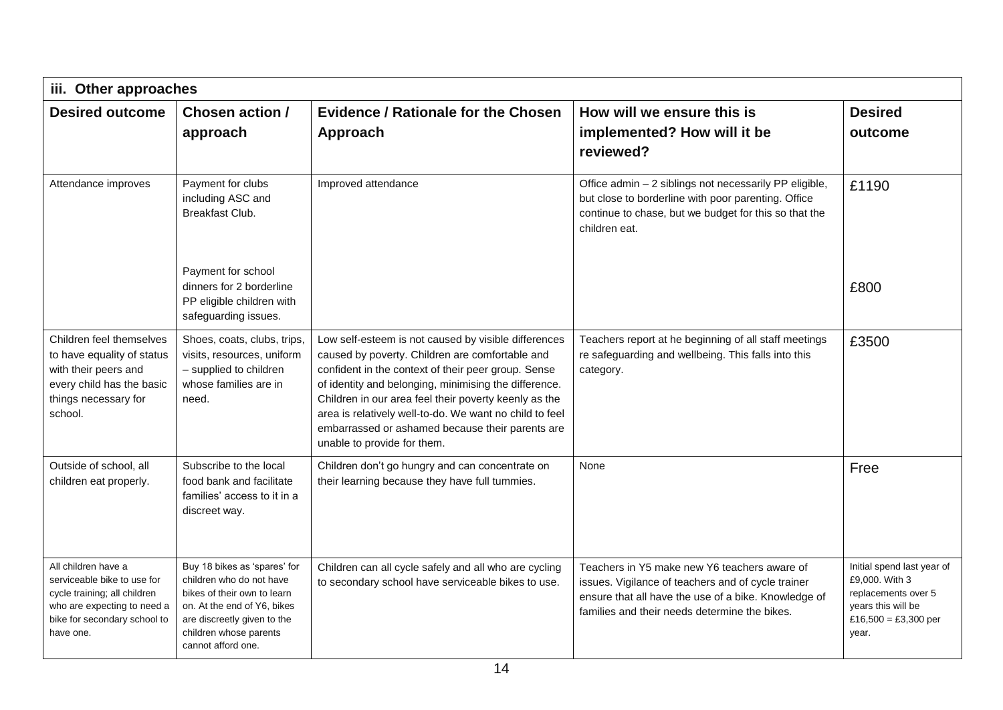| iii. Other approaches                                                                                                                                          |                                                                                                                                                                                                       |                                                                                                                                                                                                                                                                                                                                                                                                                                |                                                                                                                                                                                                             |                                                                                                                            |  |
|----------------------------------------------------------------------------------------------------------------------------------------------------------------|-------------------------------------------------------------------------------------------------------------------------------------------------------------------------------------------------------|--------------------------------------------------------------------------------------------------------------------------------------------------------------------------------------------------------------------------------------------------------------------------------------------------------------------------------------------------------------------------------------------------------------------------------|-------------------------------------------------------------------------------------------------------------------------------------------------------------------------------------------------------------|----------------------------------------------------------------------------------------------------------------------------|--|
| <b>Desired outcome</b>                                                                                                                                         | Chosen action /<br>approach                                                                                                                                                                           | <b>Evidence / Rationale for the Chosen</b><br>Approach                                                                                                                                                                                                                                                                                                                                                                         | How will we ensure this is<br>implemented? How will it be<br>reviewed?                                                                                                                                      | <b>Desired</b><br>outcome                                                                                                  |  |
| Attendance improves                                                                                                                                            | Payment for clubs<br>including ASC and<br><b>Breakfast Club.</b>                                                                                                                                      | Improved attendance                                                                                                                                                                                                                                                                                                                                                                                                            | Office admin - 2 siblings not necessarily PP eligible,<br>but close to borderline with poor parenting. Office<br>continue to chase, but we budget for this so that the<br>children eat.                     | £1190                                                                                                                      |  |
|                                                                                                                                                                | Payment for school<br>dinners for 2 borderline<br>PP eligible children with<br>safeguarding issues.                                                                                                   |                                                                                                                                                                                                                                                                                                                                                                                                                                |                                                                                                                                                                                                             | £800                                                                                                                       |  |
| Children feel themselves<br>to have equality of status<br>with their peers and<br>every child has the basic<br>things necessary for<br>school.                 | Shoes, coats, clubs, trips,<br>visits, resources, uniform<br>- supplied to children<br>whose families are in<br>need.                                                                                 | Low self-esteem is not caused by visible differences<br>caused by poverty. Children are comfortable and<br>confident in the context of their peer group. Sense<br>of identity and belonging, minimising the difference.<br>Children in our area feel their poverty keenly as the<br>area is relatively well-to-do. We want no child to feel<br>embarrassed or ashamed because their parents are<br>unable to provide for them. | Teachers report at he beginning of all staff meetings<br>re safeguarding and wellbeing. This falls into this<br>category.                                                                                   | £3500                                                                                                                      |  |
| Outside of school, all<br>children eat properly.                                                                                                               | Subscribe to the local<br>food bank and facilitate<br>families' access to it in a<br>discreet way.                                                                                                    | Children don't go hungry and can concentrate on<br>their learning because they have full tummies.                                                                                                                                                                                                                                                                                                                              | None                                                                                                                                                                                                        | Free                                                                                                                       |  |
| All children have a<br>serviceable bike to use for<br>cycle training; all children<br>who are expecting to need a<br>bike for secondary school to<br>have one. | Buy 18 bikes as 'spares' for<br>children who do not have<br>bikes of their own to learn<br>on. At the end of Y6, bikes<br>are discreetly given to the<br>children whose parents<br>cannot afford one. | Children can all cycle safely and all who are cycling<br>to secondary school have serviceable bikes to use.                                                                                                                                                                                                                                                                                                                    | Teachers in Y5 make new Y6 teachers aware of<br>issues. Vigilance of teachers and of cycle trainer<br>ensure that all have the use of a bike. Knowledge of<br>families and their needs determine the bikes. | Initial spend last year of<br>£9,000. With 3<br>replacements over 5<br>years this will be<br>£16,500 = £3,300 per<br>year. |  |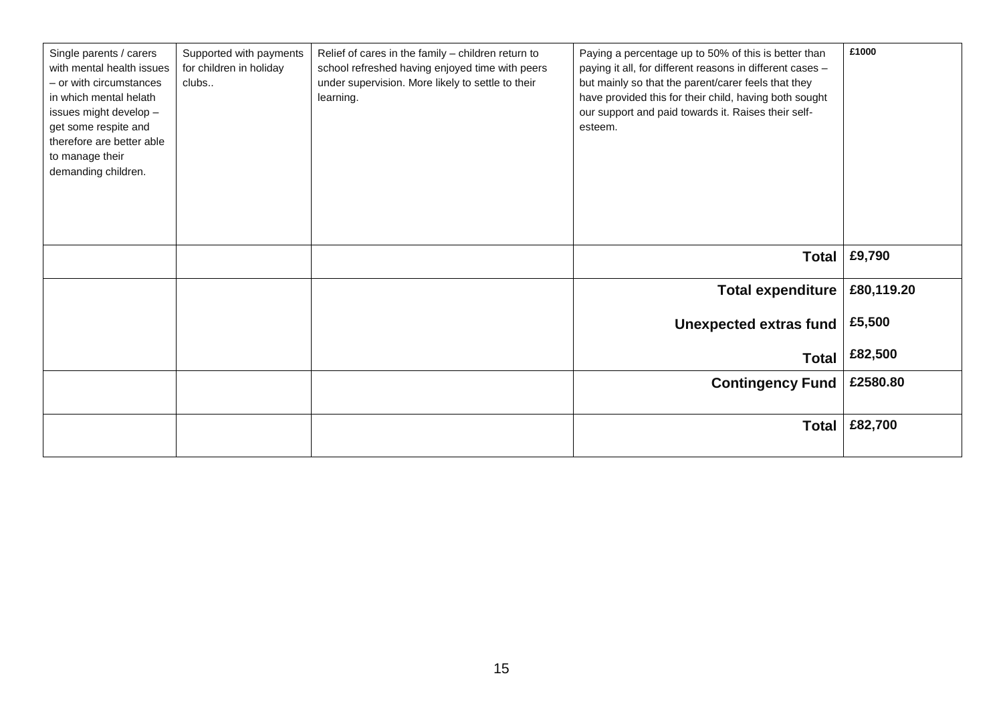| Single parents / carers<br>with mental health issues<br>- or with circumstances<br>in which mental helath<br>issues might develop -<br>get some respite and<br>therefore are better able<br>to manage their<br>demanding children. | Supported with payments<br>for children in holiday<br>clubs | Relief of cares in the family - children return to<br>school refreshed having enjoyed time with peers<br>under supervision. More likely to settle to their<br>learning. | Paying a percentage up to 50% of this is better than<br>paying it all, for different reasons in different cases -<br>but mainly so that the parent/carer feels that they<br>have provided this for their child, having both sought<br>our support and paid towards it. Raises their self-<br>esteem. | £1000      |
|------------------------------------------------------------------------------------------------------------------------------------------------------------------------------------------------------------------------------------|-------------------------------------------------------------|-------------------------------------------------------------------------------------------------------------------------------------------------------------------------|------------------------------------------------------------------------------------------------------------------------------------------------------------------------------------------------------------------------------------------------------------------------------------------------------|------------|
|                                                                                                                                                                                                                                    |                                                             |                                                                                                                                                                         | <b>Total</b>                                                                                                                                                                                                                                                                                         | £9,790     |
|                                                                                                                                                                                                                                    |                                                             |                                                                                                                                                                         | <b>Total expenditure</b>                                                                                                                                                                                                                                                                             | £80,119.20 |
|                                                                                                                                                                                                                                    |                                                             |                                                                                                                                                                         | <b>Unexpected extras fund</b>                                                                                                                                                                                                                                                                        | £5,500     |
|                                                                                                                                                                                                                                    |                                                             |                                                                                                                                                                         | <b>Total</b>                                                                                                                                                                                                                                                                                         | £82,500    |
|                                                                                                                                                                                                                                    |                                                             |                                                                                                                                                                         | <b>Contingency Fund</b>                                                                                                                                                                                                                                                                              | £2580.80   |
|                                                                                                                                                                                                                                    |                                                             |                                                                                                                                                                         | <b>Total</b>                                                                                                                                                                                                                                                                                         | £82,700    |